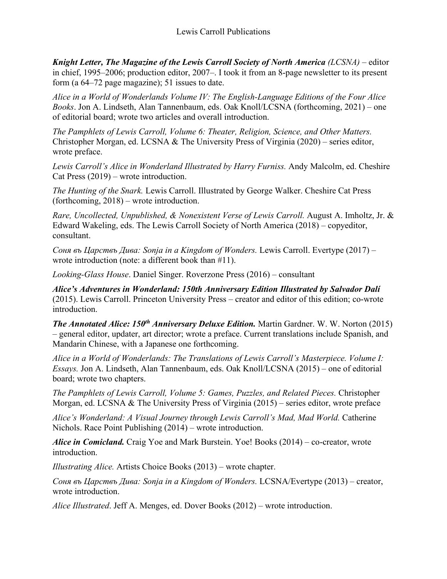*Knight Letter, The Magazine of the Lewis Carroll Society of North America (LCSNA) –* editor in chief, 1995–2006; production editor, 2007–. I took it from an 8-page newsletter to its present form (a 64–72 page magazine); 51 issues to date.

*Alice in a World of Wonderlands Volume IV: The English-Language Editions of the Four Alice Books*. Jon A. Lindseth, Alan Tannenbaum, eds. Oak Knoll/LCSNA (forthcoming, 2021) – one of editorial board; wrote two articles and overall introduction.

*The Pamphlets of Lewis Carroll, Volume 6: Theater, Religion, Science, and Other Matters.*  Christopher Morgan, ed. LCSNA & The University Press of Virginia (2020) – series editor, wrote preface.

*Lewis Carroll's Alice in Wonderland Illustrated by Harry Furniss.* Andy Malcolm, ed. Cheshire Cat Press (2019) – wrote introduction.

*The Hunting of the Snark.* Lewis Carroll. Illustrated by George Walker. Cheshire Cat Press (forthcoming, 2018) – wrote introduction.

*Rare, Uncollected, Unpublished, & Nonexistent Verse of Lewis Carroll.* August A. Imholtz, Jr. & Edward Wakeling, eds. The Lewis Carroll Society of North America (2018) – copyeditor, consultant.

*Соня въ Царствъ Дива: Sonja in a Kingdom of Wonders.* Lewis Carroll. Evertype (2017) – wrote introduction (note: a different book than #11).

*Looking-Glass House*. Daniel Singer. Roverzone Press (2016) – consultant

*Alice's Adventures in Wonderland: 150th Anniversary Edition Illustrated by Salvador Dalí* (2015). Lewis Carroll. Princeton University Press – creator and editor of this edition; co-wrote introduction.

*The Annotated Alice: 150<sup>th</sup> Anniversary Deluxe Edition.* **Martin Gardner. W. W. Norton (2015)** – general editor, updater, art director; wrote a preface. Current translations include Spanish, and Mandarin Chinese, with a Japanese one forthcoming.

*Alice in a World of Wonderlands: The Translations of Lewis Carroll's Masterpiece. Volume I: Essays.* Jon A. Lindseth, Alan Tannenbaum, eds. Oak Knoll/LCSNA (2015) – one of editorial board; wrote two chapters.

*The Pamphlets of Lewis Carroll, Volume 5: Games, Puzzles, and Related Pieces.* Christopher Morgan, ed. LCSNA & The University Press of Virginia (2015) – series editor, wrote preface

Alice's Wonderland: A Visual Journey through Lewis Carroll's Mad, Mad World. Catherine Nichols. Race Point Publishing (2014) – wrote introduction.

*Alice in Comicland.* Craig Yoe and Mark Burstein. Yoe! Books (2014) – co-creator, wrote introduction.

*Illustrating Alice.* Artists Choice Books (2013) – wrote chapter.

*Соня въ Царствъ Дива: Sonja in a Kingdom of Wonders.* LCSNA/Evertype (2013) – creator, wrote introduction.

*Alice Illustrated*. Jeff A. Menges, ed. Dover Books (2012) – wrote introduction.